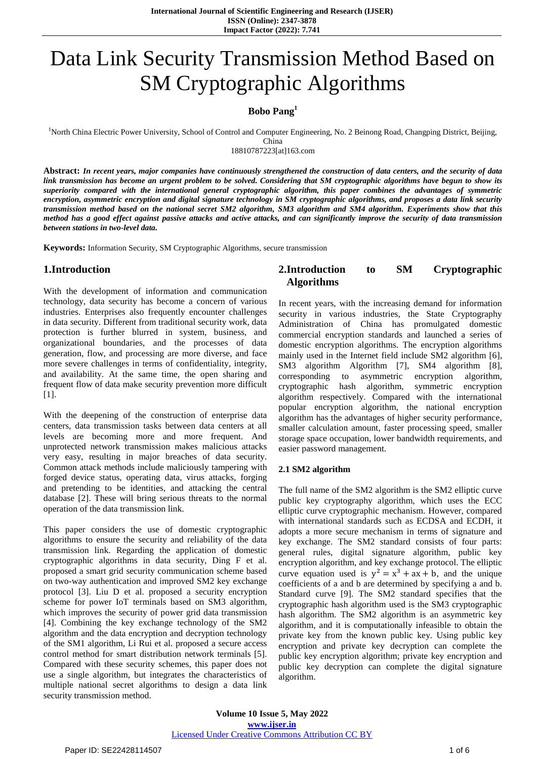# Data Link Security Transmission Method Based on SM Cryptographic Algorithms

# **Bobo Pang<sup>1</sup>**

<sup>1</sup>North China Electric Power University, School of Control and Computer Engineering, No. 2 Beinong Road, Changping District, Beijing,

China 18810787223[at]163.com

Abstract: In recent years, major companies have continuously strengthened the construction of data centers, and the security of data link transmission has become an urgent problem to be solved. Considering that SM cryptographic algorithms have begun to show its *superiority compared with the international general cryptographic algorithm, this paper combines the advantages of symmetric* encryption, asymmetric encryption and digital signature technology in SM cryptographic algorithms, and proposes a data link security transmission method based on the national secret SM2 algorithm, SM3 algorithm and SM4 algorithm. Experiments show that this method has a good effect against passive attacks and active attacks, and can significantly improve the security of data transmission *between stations in two-level data.*

**Keywords:** Information Security, SM Cryptographic Algorithms, secure transmission

# **1.Introduction**

With the development of information and communication technology, data security has become a concern of various industries. Enterprises also frequently encounter challenges in data security. Different from traditional security work, data protection is further blurred in system, business, and organizational boundaries, and the processes of data generation, flow, and processing are more diverse, and face more severe challenges in terms of confidentiality, integrity, and availability. At the same time, the open sharing and frequent flow of data make security prevention more difficult [1].

With the deepening of the construction of enterprise data centers, data transmission tasks between data centers at all levels are becoming more and more frequent. And unprotected network transmission makes malicious attacks very easy, resulting in major breaches of data security. Common attack methods include maliciously tampering with forged device status, operating data, virus attacks, forging and pretending to be identities, and attacking the central database [2]. These will bring serious threats to the normal operation of the data transmission link.

This paper considers the use of domestic cryptographic algorithms to ensure the security and reliability of the data transmission link. Regarding the application of domestic cryptographic algorithms in data security, Ding F et al. proposed a smart grid security communication scheme based on two-way authentication and improved SM2 key exchange protocol [3]. Liu D et al. proposed a security encryption scheme for power IoT terminals based on SM3 algorithm, which improves the security of power grid data transmission [4]. Combining the key exchange technology of the SM2 algorithm and the data encryption and decryption technology of the SM1 algorithm, Li Rui et al. proposed a secure access control method for smart distribution network terminals [5]. Compared with these security schemes, this paper does not use a single algorithm, but integrates the characteristics of multiple national secret algorithms to design a data link security transmission method.

# **2.Introduction to SM Cryptographic Algorithms**

In recent years, with the increasing demand for information security in various industries, the State Cryptography Administration of China has promulgated domestic commercial encryption standards and launched a series of domestic encryption algorithms. The encryption algorithms mainly used in the Internet field include SM2 algorithm [6], SM3 algorithm Algorithm [7], SM4 algorithm [8], corresponding to asymmetric encryption algorithm, cryptographic hash algorithm, symmetric encryption algorithm respectively. Compared with the international popular encryption algorithm, the national encryption algorithm has the advantages of higher security performance, smaller calculation amount, faster processing speed, smaller storage space occupation, lower bandwidth requirements, and easier password management.

#### **2.1 SM2 algorithm**

The full name of the SM2 algorithm is the SM2 elliptic curve public key cryptography algorithm, which uses the ECC elliptic curve cryptographic mechanism. However, compared with international standards such as ECDSA and ECDH, it adopts a more secure mechanism in terms of signature and key exchange. The SM2 standard consists of four parts: general rules, digital signature algorithm, public key encryption algorithm, and key exchange protocol. The elliptic curve equation used is  $y^2 = x^3 + ax + b$ , and the unique coefficients of a and b are determined by specifying a and b. Standard curve [9]. The SM2 standard specifies that the cryptographic hash algorithm used is the SM3 cryptographic hash algorithm. The SM2 algorithm is an asymmetric key algorithm, and it is computationally infeasible to obtain the private key from the known public key. Using public key encryption and private key decryption can complete the public key encryption algorithm; private key encryption and public key decryption can complete the digital signature algorithm.

**Volume 10 Issue 5, May 2022 www.ijser.in** Licensed Under Creative Commons Attribution CC BY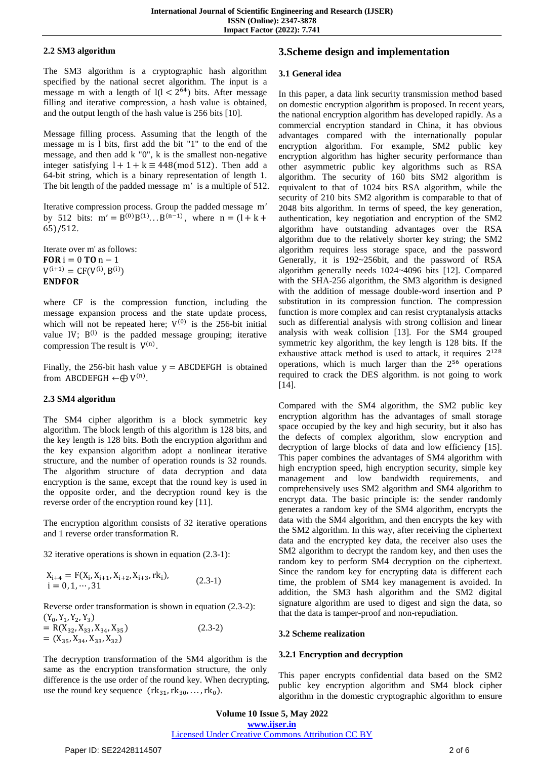### **2.2 SM3 algorithm**

The SM3 algorithm is a cryptographic hash algorithm specified by the national secret algorithm. The input is a message m with a length of  $|(1 < 2^{64})$  bits. After message filling and iterative compression, a hash value is obtained, and the output length of the hash value is 256 bits [10].

Message filling process. Assuming that the length of the message m is l bits, first add the bit "1" to the end of the message, and then add k "0", k is the smallest non-negative integer satisfying  $1 + 1 + k \equiv 448 \pmod{512}$ . Then add a 64-bit string, which is a binary representation of length 1. The bit length of the padded message  $m'$  is a multiple of 512.

Iterative compression process. Group the padded message m' by 512 bits:  $m' = B^{(0)}B^{(1)}...B^{(n-1)}$ , where n  $65)/512.$ 

Iterate over m' as follows: **FOR**  $i = 0$  **TO**  $n - 1$  $V^{(i+1)} = CF(V^{(i)}, B^{(i)})$ **ENDFOR** 

where CF is the compression function, including the message expansion process and the state update process, which will not be repeated here;  $V^{(0)}$  is the 256-bit initial value IV;  $B^{(i)}$  is the padded message grouping; iterative compression The result is  $V^{(n)}$ .

Finally, the 256-bit hash value  $y = ABCDEFGH$  is obtained from ABCDEFGH  $\leftarrow \bigoplus V^{(n)}$ .

## **2.3 SM4 algorithm**

The SM4 cipher algorithm is a block symmetric key algorithm. The block length of this algorithm is 128 bits, and the key length is 128 bits. Both the encryption algorithm and the key expansion algorithm adopt a nonlinear iterative structure, and the number of operation rounds is 32 rounds. The algorithm structure of data decryption and data encryption is the same, except that the round key is used in the opposite order, and the decryption round key is the reverse order of the encryption round key [11].

The encryption algorithm consists of 32 iterative operations and 1 reverse order transformation R.

32 iterative operations is shown in equation (2.3-1):

 $X_{i+4} = F(X_i, X_{i+1}, X_{i+2}, X_{i+3}, r k_i)$  $\alpha_{i+4} = r(\alpha_i, \alpha_{i+1}, \alpha_{i+2}, \alpha_{i+3}, \alpha_i),$ <br>  $i = 0, 1, \dots, 31$  (2.3-1)

Reverse order transformation is shown in equation (2.3-2):  $(Y_0, Y_1, Y_2, Y_3)$ 

= R( $X_{32}$ ,  $X_{33}$ ,  $X_{34}$ ,  $X_{35}$ )  $=(X_{35}, X_{34}, X_{33}, X_{32})$ (2.3-2)

The decryption transformation of the SM4 algorithm is the same as the encryption transformation structure, the only difference is the use order of the round key. When decrypting, use the round key sequence  $(rk_{31}, rk_{30}, \ldots, rk_0)$ .

# **3.Scheme design and implementation**

#### **3.1 General idea**

In this paper, a data link security transmission method based on domestic encryption algorithm is proposed. In recent years, the national encryption algorithm has developed rapidly. As a commercial encryption standard in China, it has obvious advantages compared with the internationally popular encryption algorithm. For example, SM2 public key encryption algorithm has higher security performance than other asymmetric public key algorithms such as RSA algorithm. The security of 160 bits SM2 algorithm is equivalent to that of 1024 bits RSA algorithm, while the security of 210 bits SM2 algorithm is comparable to that of 2048 bits algorithm. In terms of speed, the key generation, authentication, key negotiation and encryption of the SM2 algorithm have outstanding advantages over the RSA algorithm due to the relatively shorter key string; the SM2 algorithm requires less storage space, and the password Generally, it is 192~256bit, and the password of RSA algorithm generally needs 1024~4096 bits [12]. Compared with the SHA-256 algorithm, the SM3 algorithm is designed with the addition of message double-word insertion and P substitution in its compression function. The compression function is more complex and can resist cryptanalysis attacks such as differential analysis with strong collision and linear analysis with weak collision [13]. For the SM4 grouped symmetric key algorithm, the key length is 128 bits. If the exhaustive attack method is used to attack, it requires  $2<sup>1</sup>$ operations, which is much larger than the  $2^{56}$  operations required to crack the DES algorithm. is not going to work [14].

Compared with the SM4 algorithm, the SM2 public key encryption algorithm has the advantages of small storage space occupied by the key and high security, but it also has the defects of complex algorithm, slow encryption and decryption of large blocks of data and low efficiency [15]. This paper combines the advantages of SM4 algorithm with high encryption speed, high encryption security, simple key management and low bandwidth requirements, and comprehensively uses SM2 algorithm and SM4 algorithm to encrypt data. The basic principle is: the sender randomly generates a random key of the SM4 algorithm, encrypts the data with the SM4 algorithm, and then encrypts the key with the SM2 algorithm. In this way, after receiving the ciphertext data and the encrypted key data, the receiver also uses the SM2 algorithm to decrypt the random key, and then uses the random key to perform SM4 decryption on the ciphertext. Since the random key for encrypting data is different each time, the problem of SM4 key management is avoided. In addition, the SM3 hash algorithm and the SM2 digital signature algorithm are used to digest and sign the data, so that the data is tamper-proof and non-repudiation.

#### **3.2 Scheme realization**

## **3.2.1 Encryption and decryption**

This paper encrypts confidential data based on the SM2 public key encryption algorithm and SM4 block cipher algorithm in the domestic cryptographic algorithm to ensure

**Volume 10 Issue 5, May 2022 www.ijser.in** Licensed Under Creative Commons Attribution CC BY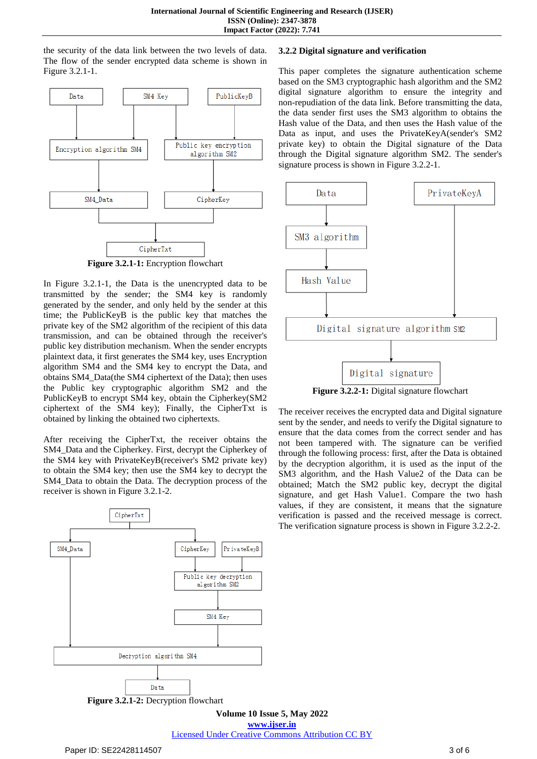the security of the data link between the two levels of data. The flow of the sender encrypted data scheme is shown in Figure 3.2.1-1.



In Figure 3.2.1-1, the Data is the unencrypted data to be transmitted by the sender; the SM4 key is randomly generated by the sender, and only held by the sender at this time; the PublicKeyB is the public key that matches the private key of the SM2 algorithm of the recipient of this data transmission, and can be obtained through the receiver's public key distribution mechanism. When the sender encrypts plaintext data, it first generates the SM4 key, uses Encryption algorithm SM4 and the SM4 key to encrypt the Data, and obtains SM4\_Data(the SM4 ciphertext of the Data); then uses the Public key cryptographic algorithm SM2 and the PublicKeyB to encrypt SM4 key, obtain the Cipherkey(SM2 ciphertext of the SM4 key); Finally, the CipherTxt is obtained by linking the obtained two ciphertexts.

After receiving the CipherTxt, the receiver obtains the SM4\_Data and the Cipherkey. First, decrypt the Cipherkey of the SM4 key with PrivateKeyB(receiver's SM2 private key) to obtain the SM4 key; then use the SM4 key to decrypt the SM4\_Data to obtain the Data. The decryption process of the receiver is shown in Figure 3.2.1-2.



**Figure 3.2.1-2:** Decryption flowchart

#### **3.2.2 Digital signature and verification**

This paper completes the signature authentication scheme based on the SM3 cryptographic hash algorithm and the SM2 digital signature algorithm to ensure the integrity and non-repudiation of the data link. Before transmitting the data, the data sender first uses the SM3 algorithm to obtains the Hash value of the Data, and then uses the Hash value of the Data as input, and uses the PrivateKeyA(sender's SM2 private key) to obtain the Digital signature of the Data through the Digital signature algorithm SM2. The sender's signature process is shown in Figure 3.2.2-1.



The receiver receives the encrypted data and Digital signature sent by the sender, and needs to verify the Digital signature to ensure that the data comes from the correct sender and has not been tampered with. The signature can be verified through the following process: first, after the Data is obtained by the decryption algorithm, it is used as the input of the SM3 algorithm, and the Hash Value2 of the Data can be obtained; Match the SM2 public key, decrypt the digital signature, and get Hash Value1. Compare the two hash values, if they are consistent, it means that the signature verification is passed and the received message is correct. The verification signature process is shown in Figure 3.2.2-2.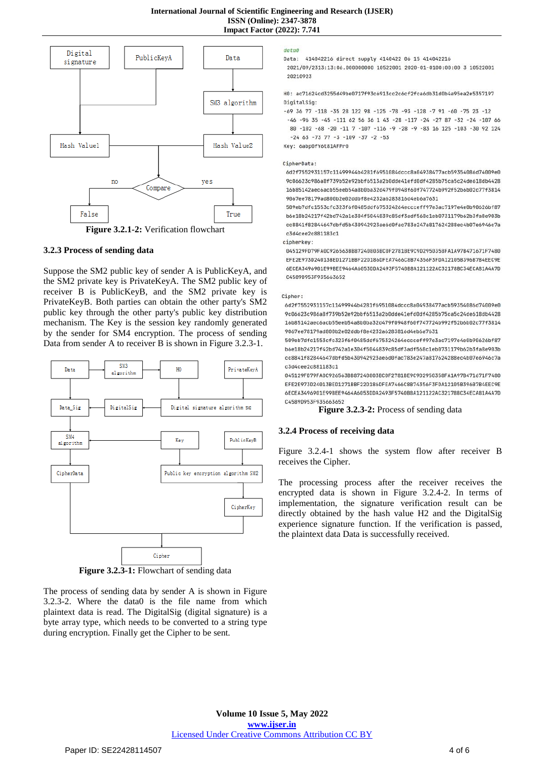

**Figure 3.2.1-2:** Verification flowchart

#### **3.2.3 Process of sending data**

Suppose the SM2 public key of sender A is PublicKeyA, and the SM2 private key is PrivateKeyA. The SM2 public key of receiver B is PublicKeyB, and the SM2 private key is PrivateKeyB. Both parties can obtain the other party's SM2 public key through the other party's public key distribution mechanism. The Key is the session key randomly generated by the sender for SM4 encryption. The process of sending Data from sender A to receiver B is shown in Figure 3.2.3-1.



**Figure 3.2.3-1:** Flowchart of sending data

The process of sending data by sender A is shown in Figure 3.2.3-2. Where the data0 is the file name from which plaintext data is read. The DigitalSig (digital signature) is a byte array type, which needs to be converted to a string type during encryption. Finally get the Cipher to be sent.

#### data0

Data: 414042216 direct supply 4140422 06 15 414042216

2021/09/2313:13:06.000000000 10522001 2020-01-0100:00:00 3 10522001 20210923

H0: ac71624cd3255d49be0717f93c6913cc2c6cf2fca6db31d0b4a95ea2e5357197 DigitalSig:

-69 36 77 -118 -35 28 122 98 -125 -78 -93 -128 -7 91 -60 -75 23 -12  $-46$  -96 35 -45 -111 62 56 36 1 43 -28 -117 -24 -27 87 -32 -24 -107 66 80 -102 -68 -20 -11 7 -107 -116 -9 -28 -9 -83 16 125 -103 -30 92 124  $-24$  63  $-73$  77  $-3$   $-109$   $-37$   $-2$   $-53$ Key: 6abp0fY6t81AFPr0

#### CipherData:

6d2f7552931157c11499944b4281f6951084dccc8a04938477acb59354086d74009e0 9c06623c986a8f739b52e92bbf6513a2b0dde41efd0df4285b75ca5c24de618db4428 16b85142aec6acb55eeb54a8b0ba32d479f0948f60f747724b992f52b6b02c77f3814 9067ee78179ad800b2e02ddbf8e4232a6283816d4eb6a7631

509eb7dfc1553cfc323f6f0485ddf675324264eccceff97e3ac7197e4e0b90626bf87 b6e18b24217f42bd742a1e304f5044839c85df3adf568c1eb0731179b62b3fa8e903b cc8841f82844647dbfd5b430942923ae6d0fac783e247a817624288ec4b07e6946c7a c3d4cee2c881183c1

cipherkey:

045129FD79FA0C926563BB87240803BC0F2781BE9C9D2950358FA1A97B471671F7480 EFE2E973D24013BED1271BBF22D186DFEA7466C8B74356F3FDA12105B396B7B4EEC9E 6ECEA3496901E99BEE9464A6053DDA2493F5740B8A121122AC32178BC34ECA81A4A7D C4589D953F935663652

#### Cipher:

6d2f7552931157c11499944h4281f6951884dccc8a84938477acb59354886d74889e8 9c06623c986a8f739b52e92bbf6513a2b0dde41efd0df4285b75ca5c24de618db4428 16b85142aec6acb55eeb54a8b0ba32d479f0948f60f747724b992f52b6b02c77f3814 9067ee78179ad800b2e02ddbf8e4232a6283816d4eb6a7631

509eb7dfc1553cfc323f6f0485ddf675324264eccceff97e3ac7197e4e0b90626bf87 b6e18b24217f42bd742a1e304f5044839c85df3adf568c1eb0731179b62b3fa8e903b cc8841f82844647dbfd5b430942923ae6d0fac783e247a817624288ec4b07e6946c7a c3d4cee2c881183c1

045129F079FA0C926563BB87240803BC0F2781BE9C9D2950358FA1A97B471671F7480 FFF2F973D24013RFD1271RRF22D18ADFFA7466C8R74356F3FDA12105R396R7R4FFC9F 6ECEA3496901E99BEE9464A6053DDA2493E5740B8A121122AC32178BC34ECA81A4A7D C4589D953F935663652

**Figure 3.2.3-2:** Process of sending data

#### **3.2.4 Process of receiving data**

Figure 3.2.4-1 shows the system flow after receiver B receives the Cipher.

The processing process after the receiver receives the encrypted data is shown in Figure 3.2.4-2. In terms of implementation, the signature verification result can be directly obtained by the hash value H2 and the DigitalSig experience signature function. If the verification is passed, the plaintext data Data is successfully received.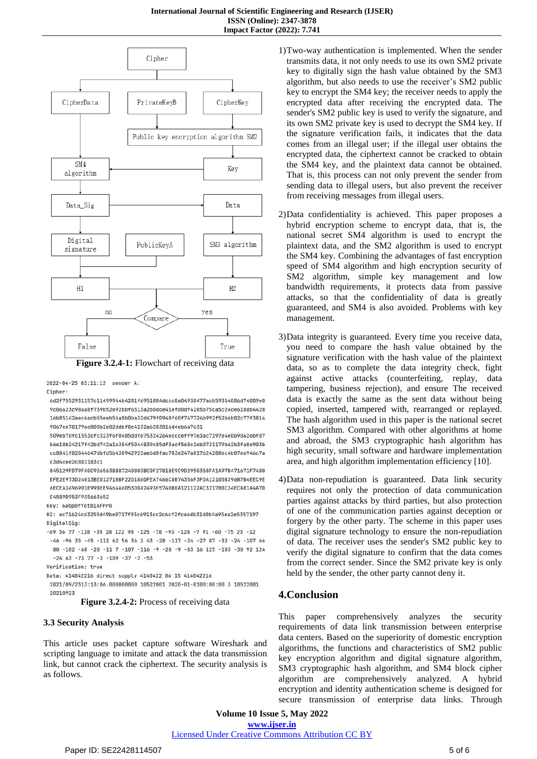

2022-04-25 03:11:13 sender A:

Cipher:

6d2f7552931157c11499944b4281f6951084dccc8a04938477acb59354086d74009e0 9c06623c986a8f739b52e92bbf6513a2b0dde41efd0df4285b75ca5c24de618db4428 16b85142aec6acb55eeb54a8b0ba32d479f0948f60f747724b992f52b6b02c77f3814 9067ee78179ad800b2e02ddbf8e4232a6283816d4eb6a7631

509eb7dfc1553cfc323f6f0485ddf675324264eccceff97e3ac7197e4e0b90626bf87 b6e18b24217f42bd742a1e304f5044839c85df3adf568c1eb0731179b62b3fa8e903b cc8841f82844647dbfd5b430942923ae6d0fac783e247a817624288ec4b07e6946c7a c3d4cee2c881183c1

045129FD79FA0C926563BB87240803BC0F2781BE9C9D2950358FA1A97B471671F7480 EFE2E973D24013BED1271BBF22D186DFEA7466C8B74356F3FDA12105B396B7B4EEC9E 6ECEA3496901E99BEE9464A6053DDA2493F5740B8A121122AC32178BC34ECA81A4A7D C4589D953F935663652

Key: 6abp0fY6t81AFPr0

H2: ac71624cd3255d49be0717f93c6913cc2c6cf2fca6db31d0b4a95ea2e5357197 DigitalSig:

 $-69$  36 77  $-118$   $-35$  28 122 98  $-125$   $-78$   $-93$   $-128$   $-7$  91  $-60$   $-75$  23  $-12$ 

 $-46 - 96$  35  $-45 - 111$  62 56 36 1 43 -28 -117 -24 -27 87 -32 -24 -107 66 80 -102 -68 -20 -11 7 -107 -116 -9 -28 -9 -83 16 125 -103 -30 92 124  $-24$  63 -73 77 -3 -109 -37 -2 -53

Verification: true

Data: 414042216 direct supply 4140422 06 15 414042216

2021/09/2313:13:06.000000000 10522001 2020-01-0100:00:00 3 10522001 20210923

**Figure 3.2.4-2:** Process of receiving data

#### **3.3 Security Analysis**

This article uses packet capture software Wireshark and scripting language to imitate and attack the data transmission link, but cannot crack the ciphertext. The security analysis is as follows.

- 1)Two-way authentication is implemented. When the sender transmits data, it not only needs to use its own SM2 private key to digitally sign the hash value obtained by the SM3 algorithm, but also needs to use the receiver's SM2 public key to encrypt the SM4 key; the receiver needs to apply the encrypted data after receiving the encrypted data. The sender's SM2 public key is used to verify the signature, and its own SM2 private key is used to decrypt the SM4 key. If the signature verification fails, it indicates that the data comes from an illegal user; if the illegal user obtains the encrypted data, the ciphertext cannot be cracked to obtain the SM4 key, and the plaintext data cannot be obtained. That is, this process can not only prevent the sender from sending data to illegal users, but also prevent the receiver from receiving messages from illegal users.
- 2)Data confidentiality is achieved. This paper proposes a hybrid encryption scheme to encrypt data, that is, the national secret SM4 algorithm is used to encrypt the plaintext data, and the SM2 algorithm is used to encrypt the SM4 key. Combining the advantages of fast encryption speed of SM4 algorithm and high encryption security of SM2 algorithm, simple key management and low bandwidth requirements, it protects data from passive attacks, so that the confidentiality of data is greatly guaranteed, and SM4 is also avoided. Problems with key management.
- 3)Data integrity is guaranteed. Every time you receive data, you need to compare the hash value obtained by the signature verification with the hash value of the plaintext data, so as to complete the data integrity check, fight against active attacks (counterfeiting, replay, data tampering, business rejection), and ensure The received data is exactly the same as the sent data without being copied, inserted, tampered with, rearranged or replayed. The hash algorithm used in this paper is the national secret SM3 algorithm. Compared with other algorithms at home and abroad, the SM3 cryptographic hash algorithm has high security, small software and hardware implementation area, and high algorithm implementation efficiency [10].
- 4)Data non-repudiation is guaranteed. Data link security requires not only the protection of data communication parties against attacks by third parties, but also protection of one of the communication parties against deception or forgery by the other party. The scheme in this paper uses digital signature technology to ensure the non-repudiation of data. The receiver uses the sender's SM2 public key to verify the digital signature to confirm that the data comes from the correct sender. Since the SM2 private key is only held by the sender, the other party cannot deny it.

# **4.Conclusion**

This paper comprehensively analyzes the security requirements of data link transmission between enterprise data centers. Based on the superiority of domestic encryption algorithms, the functions and characteristics of SM2 public key encryption algorithm and digital signature algorithm, SM3 cryptographic hash algorithm, and SM4 block cipher algorithm are comprehensively analyzed. A hybrid encryption and identity authentication scheme is designed for secure transmission of enterprise data links. Through

**Volume 10 Issue 5, May 2022 www.ijser.in** Licensed Under Creative Commons Attribution CC BY